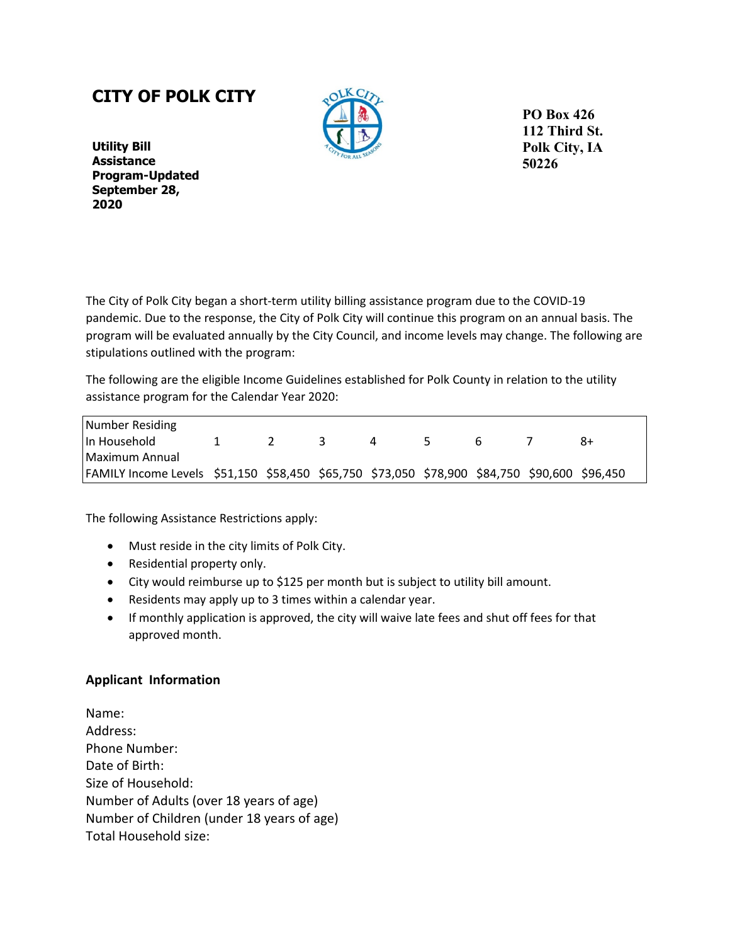## **CITY OF POLK CITY**



**PO Box 426 112 Third St. Polk City, IA 50226** 

**Utility Bill Assistance Program-Updated September 28, 2020**

The City of Polk City began a short-term utility billing assistance program due to the COVID-19 pandemic. Due to the response, the City of Polk City will continue this program on an annual basis. The program will be evaluated annually by the City Council, and income levels may change. The following are stipulations outlined with the program:

The following are the eligible Income Guidelines established for Polk County in relation to the utility assistance program for the Calendar Year 2020:

| Number Residing                                                                              |  |   |   |  |      |
|----------------------------------------------------------------------------------------------|--|---|---|--|------|
| l In Household                                                                               |  | 4 | - |  | $8+$ |
| l Maximum Annual                                                                             |  |   |   |  |      |
| FAMILY Income Levels \$51,150 \$58,450 \$65,750 \$73,050 \$78,900 \$84,750 \$90,600 \$96,450 |  |   |   |  |      |

The following Assistance Restrictions apply:

- Must reside in the city limits of Polk City.
- Residential property only.
- City would reimburse up to \$125 per month but is subject to utility bill amount.
- Residents may apply up to 3 times within a calendar year.
- If monthly application is approved, the city will waive late fees and shut off fees for that approved month.

## **Applicant Information**

Name: Address: Phone Number: Date of Birth: Size of Household: Number of Adults (over 18 years of age) Number of Children (under 18 years of age) Total Household size: